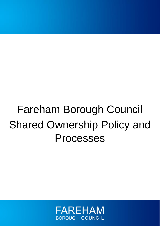# Fareham Borough Council Shared Ownership Policy and Processes

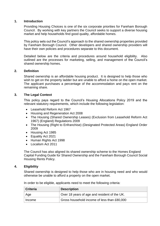# **1. Introduction**

Providing Housing Choices is one of the six corporate priorities for Fareham Borough Council. By working with key partners the Council seeks to support a diverse housing market and help households find good quality, affordable homes.

This policy sets out the Council's approach to the shared ownership properties provided by Fareham Borough Council. Other developers and shared ownership providers will have their own policies and procedures separate to this document.

Detailed below are the criteria and procedures around household eligibility. Also outlined are the processes for marketing, selling, and management of the Council's shared ownership homes.

## **2. Definition**

Shared ownership is an affordable housing product. It is designed to help those who wish to get on the property ladder but are unable to afford a home on the open market. The applicant purchases a percentage of the accommodation and pays rent on the remaining share.

## **3. The Legal Context**

This policy pays regard to the Council's Housing Allocations Policy 2019 and the relevant statutory requirements, which include the following legislation:

- Leasehold Reform Act 1967
- Housing and Regeneration Act 2008
- The Housing (Shared Ownership Leases) (Exclusion from Leasehold Reform Act 1967) (England) Regulations 2009
- The Housing (Right to Enfranchise) (Designated Protected Areas) England Order 2009
- Housing Act 1985
- Equality Act 2021
- Human Rights Act 1998
- Localism Act 2011

The Council has also aligned its shared ownership scheme to the Homes England Capital Funding Guide for Shared Ownership and the Fareham Borough Council Social Housing Rents Policy.

# **4. Eligibility**

Shared ownership is designed to help those who are in housing need and who would otherwise be unable to afford a property on the open market.

| Criteria | <b>Description</b>                           |  |
|----------|----------------------------------------------|--|
| ∣ Age    | Over 18 years of age and resident of the UK. |  |
| ∣ Income | Gross household income of less than £80,000  |  |

In order to be eligible, applicants need to meet the following criteria: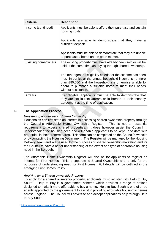| <b>Criteria</b>            | <b>Description</b>                                                                                                                                                                                                                                                     |
|----------------------------|------------------------------------------------------------------------------------------------------------------------------------------------------------------------------------------------------------------------------------------------------------------------|
| Income (continued)         | Applicants must be able to afford their purchase and sustain<br>housing costs.                                                                                                                                                                                         |
|                            | Applicants are able to demonstrate that they have a<br>sufficient deposit.                                                                                                                                                                                             |
|                            | Applicants must be able to demonstrate that they are unable<br>to purchase a home on the open market.                                                                                                                                                                  |
| <b>Existing homeowners</b> | The existing property must have already been sold or will be<br>sold at the same time as buying through shared ownership.                                                                                                                                              |
|                            | The other general eligibility criteria for the scheme has been<br>met. In particular the annual household income is no more<br>than £80,000 and the household are otherwise unable to<br>afford to purchase a suitable home to meet their needs<br>without assistance. |
| Arrears                    | If applicable, applicants must be able to demonstrate that<br>they are not in rent arrears or in breach of their tenancy<br>agreement at the time of application.                                                                                                      |

# **5. The Application Process**

# *Registering an interest in Shared Ownership*

Households can first state an interest in accessing shared ownership property through the Council's Affordable Home Ownership Register. This is not an essential requirement to access shared properties. It does however assist the Council in understanding the housing need and will enable applicants to be kept up to date with properties in their preferred area. This form can be completed on the Council's website or by contacting the Housing Department. The Register will be managed by the Housing Delivery Team and will be used for the purposes of shared ownership marketing and for the Council to have a better understanding of the extent and type of affordable housing need in the Borough.

The Affordable Home Ownership Register will also be for applicants to register an interest for First Homes. This is separate to Shared Ownership and is only for the purposes of understanding need for First Homes. Full details will be outlined in the emerging First Homes Policy.

# *Applying for a Shared ownership Property*

To apply for a shared ownership property, applicants must register with Help to Buy South<sup>1</sup>. Help to Buy is a government scheme which provides a range of options designed to make it more affordable to buy a home. Help to Buy South is one of three agents appointed by the government to assist in providing affordable housing schemes across England. The Council will advertise and accept applications only through Help to Buy South.

<sup>1</sup> <https://www.helptobuyagent3.org.uk/>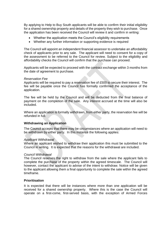By applying to Help to Buy South applicants will be able to confirm their initial eligibility for a shared ownership property and details of the property they wish to purchase. Once the application has been received the Council will review it and confirm in writing:

- Whether the application meets the Council's eligibility requirements
- Whether any further information or supporting evidence is required

The Council will appoint an independent financial assessor to undertake an affordability check of applicants prior to any sale. The applicant will need to consent for a copy of the assessment to be referred to the Council for review. Subject to the eligibility and affordability checks the Council will confirm that the purchase can proceed.

Applicants will be expected to proceed with the contract exchange within 3 months from the date of agreement to purchase.

#### *Reservation Fee*

Applicants will be required to pay a reservation fee of £500 to secure their interest. The fee will be payable once the Council has formally confirmed the acceptance of the application.

The fee will be held by the Council and will be deducted from the final balance of payment on the completion of the sale. Any interest accrued at the time will also be included.

Where an application is formally withdrawn, from either party, the reservation fee will be refunded in full.

## **Withdrawing an Application**

The Council accepts that there may be circumstances where an application will need to be withdrawn by either party. In this instance the following applies:

#### *Applicant Withdrawal*

Where an applicant wished to withdraw their application this must be submitted to the Council in writing. It is expected that the reasons for the withdrawal are included.

#### *Council Withdrawal*

The Council reserves the right to withdraw from the sale where the applicant fails to complete the purchase of the property within the agreed timescale. The Council will however, contact the applicant to advise of the intent to withdraw. Notice will be given to the applicant allowing them a final opportunity to complete the sale within the agreed timeframe.

## **Prioritisation**

It is expected that there will be instances where more than one application will be received for a shared ownership property. Where this is the case the Council will operate on a first-come, first-served basis, with the exception of Armed Forces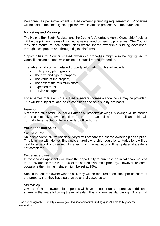Personnel, as per Government shared ownership funding requirements<sup>2</sup>. Properties will be sold to the first eligible applicant who is able to proceed with the purchase.

# **Marketing and Viewings**

The Help to Buy South Register and the Council's Affordable Home Ownership Register will be the primary means of marketing new shared ownership properties. The Council may also market to local communities where shared ownership is being developed, through local papers and through digital platforms.

Opportunities for Council shared ownership properties might also be highlighted to Council housing tenants who reside in Council rented properties.

The adverts will contain detailed property information. This will include:

- High quality photographs
- The size and type of property
- The value of the property
- The cost of the minimum share
- Expected rents
- Service charges

For schemes of five or more shared ownership homes a show home may be provided. This will be subject to local sales conditions and on a site by site basis.

## *Viewings*

A representative of the Council will attend all property viewings. Viewings will be carried out at a mutually convenient time for both the Council and the applicant. This will normally be expected to be in standard office hours.

## **Valuations and Sales**

## *Purchase Price*

An independent RIC valuation surveyor will prepare the shared ownership sales price. This is in line with Homes England's shared ownership regulations. Valuations will be held for a period of three months after which the valuation will be updated if a sale is not completed.

## *Percentage Sales*

In most cases applicants will have the opportunity to purchase an initial share no less than 10% and no more than 75% of the shared ownership property. However, on some occasions the minimum share might be set at 25%.

Should the shared owner wish to sell, they will be required to sell the specific share of the property that they have purchased or staircased up to.

## *Staircasing*

Owners of shared ownership properties will have the opportunity to purchase additional shares in the years following the initial sale. This is known as staircasing. Shares will

<sup>2</sup> As per paragraph 3.2 of https://www.gov.uk/guidance/capital-funding-guide/1-help-to-buy-sharedownership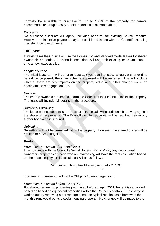normally be available to purchase for up to 100% of the property for general accommodation or up to 80% for older persons' accommodation.

## *Discounts*

No purchase discounts will apply, including ones for for existing Council tenants. However, an incentive payment may be considered in line with the Council's Housing Transfer Incentive Scheme

## **The Lease**

In most cases the Council will use the Homes England standard model leases for shared ownership properties. Existing leaseholders will use their existing lease until such a time a new lease applies.

## *Length of Lease*

The initial lease term will be for at least 125 years at first sale. Should a shorter time period be proposed, the initial scheme appraisal will be reviewed. This will include whether there are any impacts on the property value and if this change would be acceptable to mortgage lenders.

## *Re-sales*

The shared owner is required to inform the Council of their intention to sell the property. The lease will include full details on the procedure.

## *Additional Borrowing*

The lease will include details on the circumstances allowing additional borrowing against the share of the property. The Council's written approval will be required before any further borrowing is secured.

## *Subletting*

Subletting will not be permitted within the property. However, the shared owner will be entitled to have a lodger.

## **Rents**

## *Properties Purchased after 1 April 2021*

In accordance with the Council's Social Housing Rents Policy any new shared ownership properties or those who are staircasing will have the rent calculation based on the unsold equity. This calculation will be as follows:

Rent per month = 
$$
\frac{\text{(Unsolid equity amount x 2.75%)}}{12}
$$

The annual increase in rent will be CPI plus 1 percentage point.

## *Properties Purchased before 1 April 2021*

For shared ownership properties purchased before 1 April 2021 the rent is calculated based on based on equivalent properties within the Council's portfolio. The charge is worked out by removing a percentage based on typical repairs costs from what the monthly rent would be as a social housing property. No changes will be made to the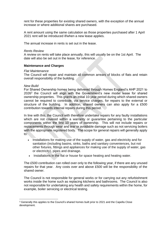rent for these properties for existing shared owners, with the exception of the annual increase or where additional shares are purchased.

A rent amount using the same calculation as those properties purchased after 1 April 2021 rent will be introduced if/when a new lease applies.

The annual increase in rents is set out in the lease.

## *Rents Review*

A review on rents will take place annually, this will usually be on the 1st April. The date will also be set out in the lease, for reference.

## **Maintenance and Charges**

## *Flat Maintenance*

The Council will repair and maintain all common arrears of blocks of flats and retain overall responsibility of the building.

## *New Build*

For Shared Ownership homes being delivered through Homes England's AHP 2021 to 2026<sup>3</sup> the Council will align with the Government's new model lease for shared ownership properties. This grants an initial 10-year period during which shared owners cannot be required to contribute, via service charges, for repairs to the external or structure of the building. In addition, shared owners can also apply for a £500 contribution towards internal repairs during this period.

In line with this, the Council with therefore undertake repairs for any faulty installations which are not covered within a warranty or guarantee pertaining to the particular components within the first 10 years of ownership. This will not include repairs or replacements through wear and tear or avoidable damage such as not servicing boilers with the appropriate registered body. The scope for general repairs will generally apply to:

- Installations for making use of the supply of water, gas and electricity and for sanitation (including basins, sinks, baths and sanitary conveniences, but not other fixtures, fittings and appliances for making use of the supply of water, gas or electricity), pipes and drainage.
- Installations in the flat or house for space heating and heating water.

The £500 contribution can rolled over only to the following year, if there are any unused repairs for that year. Any costs over and above £500 will be the responsibility of the shared owner.

The Council is not responsible for general works or for carrying out any refurbishment works inside the home such as replacing kitchens and bathrooms. The Council is also not responsible for undertaking any health and safety requirements within the home, for example, boiler servicing or electrical testing.

<sup>&</sup>lt;sup>3</sup> Generally this applies to the Council's shared homes built prior to 2021 and the Capella Close development.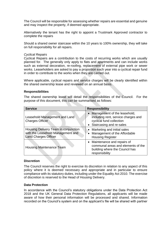The Council will be responsible for assessing whether repairs are essential and genuine and may inspect the property, if deemed appropriate.

Alternatively the tenant has the right to appoint a Trustmark Approved contractor to complete the repairs

Should a shared owner staircase within the 10 years to 100% ownership, they will take on full responsibility for all repairs.

## *Cyclical Repairs*

Cyclical Repairs are a contribution to the costs of recurring works which are usually planned for. The generally only apply to flats and apartments and can include works such as external decoration, re-roofing, replacement of external pipe work or sewer works. Leaseholders are asked to pay a proportion each year into a cyclical repair fund in order to contribute to the works when they are carried out.

Where applicable, cyclical repairs and service charges will be clearly identified within the shared ownership lease and reviewed on an annual basis.

## **Responsibilities**

The shared ownership lease will detail the responsibilities of the Council. For the purpose of this document, this can be summarised as follows:

| <b>Service</b>                                                                                           | <b>Responsibility</b>                                                                                                         |
|----------------------------------------------------------------------------------------------------------|-------------------------------------------------------------------------------------------------------------------------------|
| Leasehold Management and Land<br><b>Charges Officer</b>                                                  | Management of the leasehold,<br>including rent, service charges and<br>cyclical fund collection<br>• Staircasing and re-sales |
| Housing Delivery Team in conjunction<br>with the Leasehold Management and<br><b>Land Charges Officer</b> | • Marketing and initial sales<br>Management of the Affordable<br><b>Housing Register</b>                                      |
| <b>Housing Maintenance Team</b>                                                                          | • Maintenance and repairs of<br>communal areas and elements of the<br>building where the Council has<br>responsibility        |

## **Discretion**

The Council reserves the right to exercise its discretion in relation to any aspect of this policy where it is deemed necessary and appropriate and in particular to ensure compliance with its statutory duties, including under the Equality Act 2010. The exercise of discretion is reserved to the Head of Housing Delivery.

## **Data Protection**

In accordance with the Council's statutory obligations under the Data Protection Act 2018 and the UK General Data Protection Regulations, all applicants will be made aware of how their personal information will be processed and shared. Information recorded on the Council's system and on the applicant's file will be shared with partner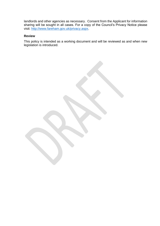landlords and other agencies as necessary. Consent from the Applicant for information sharing will be sought in all cases. For a copy of the Council's Privacy Notice please visit: [http://www.fareham.gov.uk/privacy.aspx.](http://www.fareham.gov.uk/privacy.aspx)

# **Review**

This policy is intended as a working document and will be reviewed as and when new legislation is introduced.